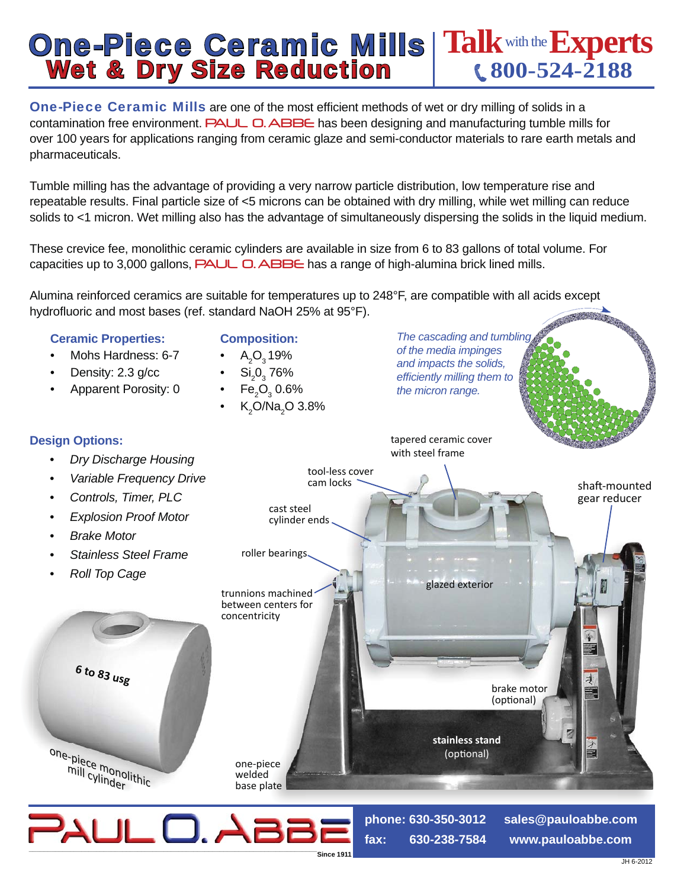## **One-Piece Ceramic Mills | Talk with the Experts<br>Wet & Dry Size Reduction et al. (800-524-2188**

**One-Piece Ceramic Mills are one of the most efficient methods of wet or dry milling of solids in a** contamination free environment. PAUL O. ABBE has been designing and manufacturing tumble mills for over 100 years for applications ranging from ceramic glaze and semi-conductor materials to rare earth metals and pharmaceuticals.

Tumble milling has the advantage of providing a very narrow particle distribution, low temperature rise and repeatable results. Final particle size of <5 microns can be obtained with dry milling, while wet milling can reduce solids to <1 micron. Wet milling also has the advantage of simultaneously dispersing the solids in the liquid medium.

These crevice fee, monolithic ceramic cylinders are available in size from 6 to 83 gallons of total volume. For capacities up to 3,000 gallons, **PAUL O. ABBE** has a range of high-alumina brick lined mills.

Alumina reinforced ceramics are suitable for temperatures up to 248°F, are compatible with all acids except hydrofluoric and most bases (ref. standard NaOH 25% at 95°F).



- Mohs Hardness: 6-7
- Density: 2.3 g/cc
- Apparent Porosity: 0
- 

**Composition:**  •  $A_2O_3$ 19%

**Design Options:**

•  $\mathrm{Si}_2\mathrm{O}_3$  76% • Fe $_{2}O_{3}$  0.6%

•  $K_2$ O/Na<sub>2</sub>O 3.8%

*The cascading and tumbling of the media impinges and impacts the solids, effi ciently milling them to the micron range.*

tapered ceramic cover



**fax: 630-238-7584**

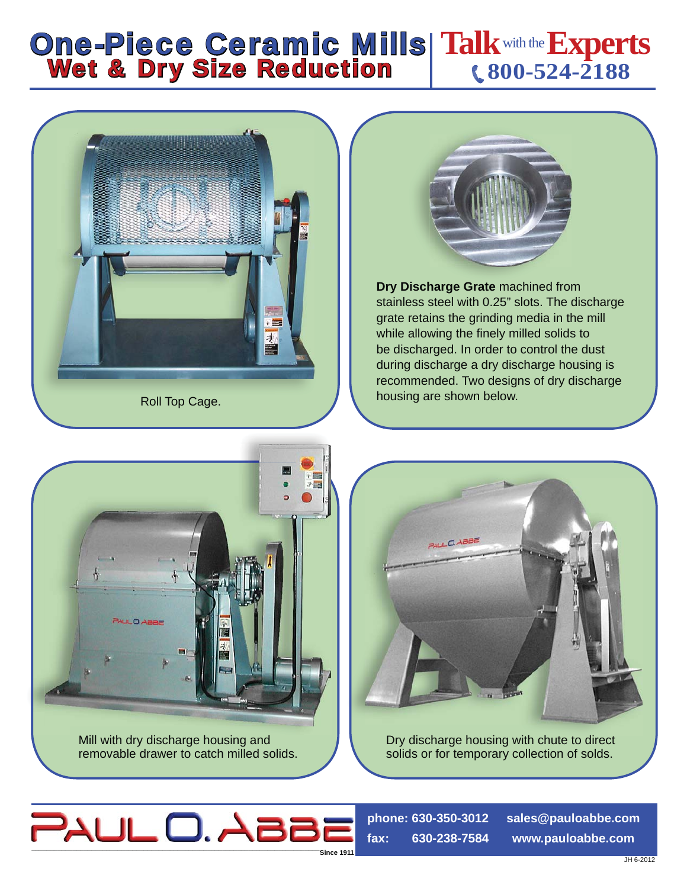## **Talk**with the**Experts 800-524-2188 One-Piece Ceramic Mills Wet & Dry Size Reduction**





**Dry Discharge Grate** machined from stainless steel with 0.25" slots. The discharge grate retains the grinding media in the mill while allowing the finely milled solids to be discharged. In order to control the dust during discharge a dry discharge housing is recommended. Two designs of dry discharge housing are shown below.





Dry discharge housing with chute to direct solids or for temporary collection of solds.